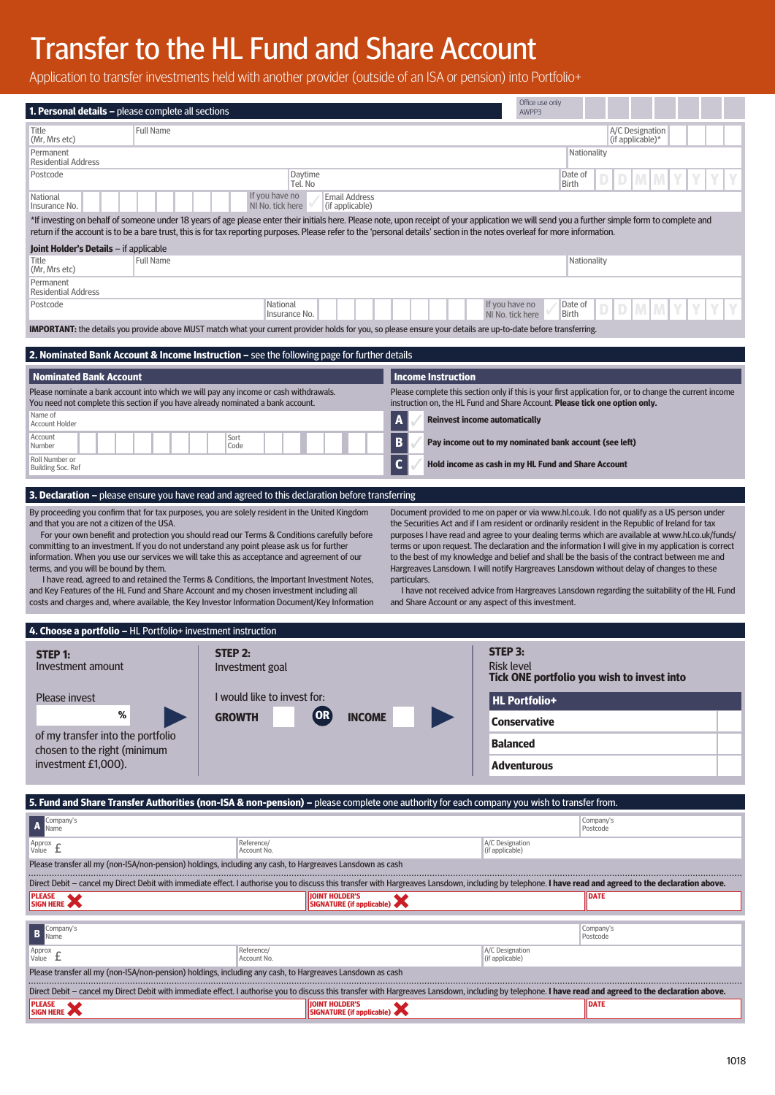# Transfer to the HL Fund and Share Account

**PLEASE SIGN HERE**

Application to transfer investments held with another provider (outside of an ISA or pension) into Portfolio+

| <b>1. Personal details –</b> please complete all sections                                                                                                                                                                                                                                                                                                                                                                                                                                                                                                                                                                                                                                                                                                                                                                                                                                                                                                                                                                                                                                                                                                                                                 |                                                                                                                                                                                                               | Office use only<br>AWPP3                                                                                                                                                                |  |  |  |  |
|-----------------------------------------------------------------------------------------------------------------------------------------------------------------------------------------------------------------------------------------------------------------------------------------------------------------------------------------------------------------------------------------------------------------------------------------------------------------------------------------------------------------------------------------------------------------------------------------------------------------------------------------------------------------------------------------------------------------------------------------------------------------------------------------------------------------------------------------------------------------------------------------------------------------------------------------------------------------------------------------------------------------------------------------------------------------------------------------------------------------------------------------------------------------------------------------------------------|---------------------------------------------------------------------------------------------------------------------------------------------------------------------------------------------------------------|-----------------------------------------------------------------------------------------------------------------------------------------------------------------------------------------|--|--|--|--|
| Title                                                                                                                                                                                                                                                                                                                                                                                                                                                                                                                                                                                                                                                                                                                                                                                                                                                                                                                                                                                                                                                                                                                                                                                                     | <b>Full Name</b>                                                                                                                                                                                              | A/C Designation                                                                                                                                                                         |  |  |  |  |
| (Mr, Mrs etc)<br>Permanent                                                                                                                                                                                                                                                                                                                                                                                                                                                                                                                                                                                                                                                                                                                                                                                                                                                                                                                                                                                                                                                                                                                                                                                |                                                                                                                                                                                                               | (if applicable) <sup>*</sup><br>Nationality                                                                                                                                             |  |  |  |  |
| <b>Residential Address</b><br>Postcode                                                                                                                                                                                                                                                                                                                                                                                                                                                                                                                                                                                                                                                                                                                                                                                                                                                                                                                                                                                                                                                                                                                                                                    | Daytime                                                                                                                                                                                                       | Date of                                                                                                                                                                                 |  |  |  |  |
|                                                                                                                                                                                                                                                                                                                                                                                                                                                                                                                                                                                                                                                                                                                                                                                                                                                                                                                                                                                                                                                                                                                                                                                                           | Tel. No                                                                                                                                                                                                       | Birth                                                                                                                                                                                   |  |  |  |  |
| Insurance No.                                                                                                                                                                                                                                                                                                                                                                                                                                                                                                                                                                                                                                                                                                                                                                                                                                                                                                                                                                                                                                                                                                                                                                                             | If you have no<br><b>Email Address</b><br>National<br>NI No. tick here<br>(if applicable)                                                                                                                     |                                                                                                                                                                                         |  |  |  |  |
| *If investing on behalf of someone under 18 years of age please enter their initials here. Please note, upon receipt of your application we will send you a further simple form to complete and<br>return if the account is to be a bare trust, this is for tax reporting purposes. Please refer to the 'personal details' section in the notes overleaf for more information.                                                                                                                                                                                                                                                                                                                                                                                                                                                                                                                                                                                                                                                                                                                                                                                                                            |                                                                                                                                                                                                               |                                                                                                                                                                                         |  |  |  |  |
| Joint Holder's Details - if applicable                                                                                                                                                                                                                                                                                                                                                                                                                                                                                                                                                                                                                                                                                                                                                                                                                                                                                                                                                                                                                                                                                                                                                                    |                                                                                                                                                                                                               |                                                                                                                                                                                         |  |  |  |  |
| Title<br>(Mr, Mrs etc)                                                                                                                                                                                                                                                                                                                                                                                                                                                                                                                                                                                                                                                                                                                                                                                                                                                                                                                                                                                                                                                                                                                                                                                    | <b>Full Name</b><br>Nationality                                                                                                                                                                               |                                                                                                                                                                                         |  |  |  |  |
| Permanent<br><b>Residential Address</b>                                                                                                                                                                                                                                                                                                                                                                                                                                                                                                                                                                                                                                                                                                                                                                                                                                                                                                                                                                                                                                                                                                                                                                   |                                                                                                                                                                                                               |                                                                                                                                                                                         |  |  |  |  |
| Postcode                                                                                                                                                                                                                                                                                                                                                                                                                                                                                                                                                                                                                                                                                                                                                                                                                                                                                                                                                                                                                                                                                                                                                                                                  | National                                                                                                                                                                                                      | If you have no<br>Date of                                                                                                                                                               |  |  |  |  |
|                                                                                                                                                                                                                                                                                                                                                                                                                                                                                                                                                                                                                                                                                                                                                                                                                                                                                                                                                                                                                                                                                                                                                                                                           | Birth<br>Insurance No.<br>NI No. tick here<br>IMPORTANT: the details you provide above MUST match what your current provider holds for you, so please ensure your details are up-to-date before transferring. |                                                                                                                                                                                         |  |  |  |  |
|                                                                                                                                                                                                                                                                                                                                                                                                                                                                                                                                                                                                                                                                                                                                                                                                                                                                                                                                                                                                                                                                                                                                                                                                           |                                                                                                                                                                                                               |                                                                                                                                                                                         |  |  |  |  |
| <b>2. Nominated Bank Account &amp; Income Instruction –</b> see the following page for further details                                                                                                                                                                                                                                                                                                                                                                                                                                                                                                                                                                                                                                                                                                                                                                                                                                                                                                                                                                                                                                                                                                    |                                                                                                                                                                                                               |                                                                                                                                                                                         |  |  |  |  |
| <b>Nominated Bank Account</b>                                                                                                                                                                                                                                                                                                                                                                                                                                                                                                                                                                                                                                                                                                                                                                                                                                                                                                                                                                                                                                                                                                                                                                             |                                                                                                                                                                                                               | <b>Income Instruction</b>                                                                                                                                                               |  |  |  |  |
|                                                                                                                                                                                                                                                                                                                                                                                                                                                                                                                                                                                                                                                                                                                                                                                                                                                                                                                                                                                                                                                                                                                                                                                                           | Please nominate a bank account into which we will pay any income or cash withdrawals.<br>You need not complete this section if you have already nominated a bank account.                                     | Please complete this section only if this is your first application for, or to change the current income<br>instruction on, the HL Fund and Share Account. Please tick one option only. |  |  |  |  |
| Name of<br>Account Holder                                                                                                                                                                                                                                                                                                                                                                                                                                                                                                                                                                                                                                                                                                                                                                                                                                                                                                                                                                                                                                                                                                                                                                                 | A<br><b>Reinvest income automatically</b>                                                                                                                                                                     |                                                                                                                                                                                         |  |  |  |  |
| Account<br>Number                                                                                                                                                                                                                                                                                                                                                                                                                                                                                                                                                                                                                                                                                                                                                                                                                                                                                                                                                                                                                                                                                                                                                                                         | Sort<br>B<br>Code                                                                                                                                                                                             | Pay income out to my nominated bank account (see left)                                                                                                                                  |  |  |  |  |
| Roll Number or                                                                                                                                                                                                                                                                                                                                                                                                                                                                                                                                                                                                                                                                                                                                                                                                                                                                                                                                                                                                                                                                                                                                                                                            | C                                                                                                                                                                                                             | Hold income as cash in my HL Fund and Share Account                                                                                                                                     |  |  |  |  |
| <b>Building Soc. Ref</b>                                                                                                                                                                                                                                                                                                                                                                                                                                                                                                                                                                                                                                                                                                                                                                                                                                                                                                                                                                                                                                                                                                                                                                                  |                                                                                                                                                                                                               |                                                                                                                                                                                         |  |  |  |  |
|                                                                                                                                                                                                                                                                                                                                                                                                                                                                                                                                                                                                                                                                                                                                                                                                                                                                                                                                                                                                                                                                                                                                                                                                           | 3. Declaration - please ensure you have read and agreed to this declaration before transferring                                                                                                               |                                                                                                                                                                                         |  |  |  |  |
| For your own benefit and protection you should read our Terms & Conditions carefully before<br>purposes I have read and agree to your dealing terms which are available at www.hl.co.uk/funds/<br>committing to an investment. If you do not understand any point please ask us for further<br>terms or upon request. The declaration and the information I will give in my application is correct<br>information. When you use our services we will take this as acceptance and agreement of our<br>to the best of my knowledge and belief and shall be the basis of the contract between me and<br>terms, and you will be bound by them.<br>Hargreaves Lansdown. I will notify Hargreaves Lansdown without delay of changes to these<br>I have read, agreed to and retained the Terms & Conditions, the Important Investment Notes,<br>particulars.<br>and Key Features of the HL Fund and Share Account and my chosen investment including all<br>I have not received advice from Hargreaves Lansdown regarding the suitability of the HL Fund<br>costs and charges and, where available, the Key Investor Information Document/Key Information<br>and Share Account or any aspect of this investment. |                                                                                                                                                                                                               |                                                                                                                                                                                         |  |  |  |  |
|                                                                                                                                                                                                                                                                                                                                                                                                                                                                                                                                                                                                                                                                                                                                                                                                                                                                                                                                                                                                                                                                                                                                                                                                           | 4. Choose a portfolio - HL Portfolio+ investment instruction                                                                                                                                                  |                                                                                                                                                                                         |  |  |  |  |
| STEP 3:<br>STEP 2:                                                                                                                                                                                                                                                                                                                                                                                                                                                                                                                                                                                                                                                                                                                                                                                                                                                                                                                                                                                                                                                                                                                                                                                        |                                                                                                                                                                                                               |                                                                                                                                                                                         |  |  |  |  |
| <b>STEP 1:</b><br>Investment amount                                                                                                                                                                                                                                                                                                                                                                                                                                                                                                                                                                                                                                                                                                                                                                                                                                                                                                                                                                                                                                                                                                                                                                       | Investment goal                                                                                                                                                                                               | <b>Risk level</b><br>Tick ONE portfolio you wish to invest into                                                                                                                         |  |  |  |  |
| I would like to invest for:<br><b>Please invest</b>                                                                                                                                                                                                                                                                                                                                                                                                                                                                                                                                                                                                                                                                                                                                                                                                                                                                                                                                                                                                                                                                                                                                                       |                                                                                                                                                                                                               | <b>HL Portfolio+</b>                                                                                                                                                                    |  |  |  |  |
| %<br>$($ OR $)$<br><b>INCOME</b><br><b>GROWTH</b>                                                                                                                                                                                                                                                                                                                                                                                                                                                                                                                                                                                                                                                                                                                                                                                                                                                                                                                                                                                                                                                                                                                                                         |                                                                                                                                                                                                               | <b>Conservative</b>                                                                                                                                                                     |  |  |  |  |
| of my transfer into the portfolio<br>chosen to the right (minimum<br>investment £1,000).                                                                                                                                                                                                                                                                                                                                                                                                                                                                                                                                                                                                                                                                                                                                                                                                                                                                                                                                                                                                                                                                                                                  |                                                                                                                                                                                                               | <b>Balanced</b>                                                                                                                                                                         |  |  |  |  |
|                                                                                                                                                                                                                                                                                                                                                                                                                                                                                                                                                                                                                                                                                                                                                                                                                                                                                                                                                                                                                                                                                                                                                                                                           |                                                                                                                                                                                                               | Adventurous                                                                                                                                                                             |  |  |  |  |
|                                                                                                                                                                                                                                                                                                                                                                                                                                                                                                                                                                                                                                                                                                                                                                                                                                                                                                                                                                                                                                                                                                                                                                                                           |                                                                                                                                                                                                               |                                                                                                                                                                                         |  |  |  |  |
|                                                                                                                                                                                                                                                                                                                                                                                                                                                                                                                                                                                                                                                                                                                                                                                                                                                                                                                                                                                                                                                                                                                                                                                                           | 5. Fund and Share Transfer Authorities (non-ISA & non-pension) - please complete one authority for each company you wish to transfer from.                                                                    |                                                                                                                                                                                         |  |  |  |  |
| Company's<br>A<br>Name                                                                                                                                                                                                                                                                                                                                                                                                                                                                                                                                                                                                                                                                                                                                                                                                                                                                                                                                                                                                                                                                                                                                                                                    |                                                                                                                                                                                                               | Company's<br>Postcode                                                                                                                                                                   |  |  |  |  |
| Approx<br>£<br>Value                                                                                                                                                                                                                                                                                                                                                                                                                                                                                                                                                                                                                                                                                                                                                                                                                                                                                                                                                                                                                                                                                                                                                                                      | Reference/<br>Account No.                                                                                                                                                                                     | A/C Designation<br>(if applicable)                                                                                                                                                      |  |  |  |  |
| Please transfer all my (non-ISA/non-pension) holdings, including any cash, to Hargreaves Lansdown as cash                                                                                                                                                                                                                                                                                                                                                                                                                                                                                                                                                                                                                                                                                                                                                                                                                                                                                                                                                                                                                                                                                                 |                                                                                                                                                                                                               |                                                                                                                                                                                         |  |  |  |  |
| Direct Debit – cancel my Direct Debit with immediate effect. I authorise you to discuss this transfer with Hargreaves Lansdown, including by telephone. <b>I have read and agreed to the declaration above.</b>                                                                                                                                                                                                                                                                                                                                                                                                                                                                                                                                                                                                                                                                                                                                                                                                                                                                                                                                                                                           |                                                                                                                                                                                                               |                                                                                                                                                                                         |  |  |  |  |
| <b>PLEASE</b><br>SIGN HERE                                                                                                                                                                                                                                                                                                                                                                                                                                                                                                                                                                                                                                                                                                                                                                                                                                                                                                                                                                                                                                                                                                                                                                                | <b>JOINT HOLDER'S</b><br>SIGNATURE (if applicable)                                                                                                                                                            | <b>DATE</b>                                                                                                                                                                             |  |  |  |  |
| Company's<br>B<br>Name                                                                                                                                                                                                                                                                                                                                                                                                                                                                                                                                                                                                                                                                                                                                                                                                                                                                                                                                                                                                                                                                                                                                                                                    |                                                                                                                                                                                                               | Company's<br>Postcode                                                                                                                                                                   |  |  |  |  |
| Approx<br>$\frac{H}{L}$ Value $f$                                                                                                                                                                                                                                                                                                                                                                                                                                                                                                                                                                                                                                                                                                                                                                                                                                                                                                                                                                                                                                                                                                                                                                         | Reference/<br>Account No.                                                                                                                                                                                     | A/C Designation<br>(if applicable)                                                                                                                                                      |  |  |  |  |
| Please transfer all my (non-ISA/non-pension) holdings, including any cash, to Hargreaves Lansdown as cash                                                                                                                                                                                                                                                                                                                                                                                                                                                                                                                                                                                                                                                                                                                                                                                                                                                                                                                                                                                                                                                                                                 |                                                                                                                                                                                                               |                                                                                                                                                                                         |  |  |  |  |
|                                                                                                                                                                                                                                                                                                                                                                                                                                                                                                                                                                                                                                                                                                                                                                                                                                                                                                                                                                                                                                                                                                                                                                                                           | Direct Debit - cancel my Direct Debit with immediate effect. I authorise you to discuss this transfer with Hargreaves Lansdown, including by telephone. I have read and agreed to the declaration above.      |                                                                                                                                                                                         |  |  |  |  |

**SIGNATURE (if applicable) CONSERVERT CONSERVERT (if applicable) CONSERVERT CONSERVERT CONSERVERT CONSERVERT CONSERVERT CONSERVERT CONSERVERT CONSERVERT CONSERVERT CONSERVERT CONSERVERT CONSERVERT CONSERVERT CONSERVERT**